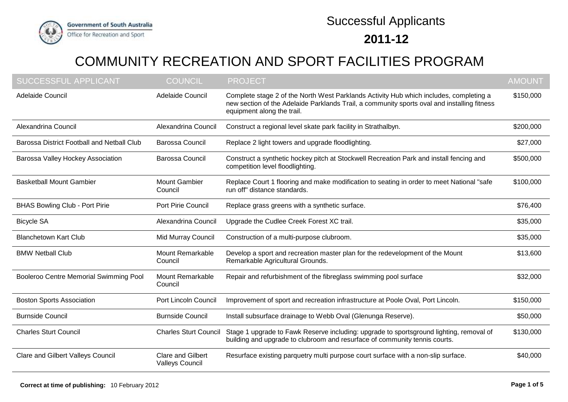

## **2011-12** Successful Applicants

## COMMUNITY RECREATION AND SPORT FACILITIES PROGRAM

| <b>SUCCESSFUL APPLICANT</b>                | <b>COUNCIL</b>                                     | PROJECT                                                                                                                                                                                                             | <b>AMOUNT</b> |
|--------------------------------------------|----------------------------------------------------|---------------------------------------------------------------------------------------------------------------------------------------------------------------------------------------------------------------------|---------------|
| Adelaide Council                           | Adelaide Council                                   | Complete stage 2 of the North West Parklands Activity Hub which includes, completing a<br>new section of the Adelaide Parklands Trail, a community sports oval and installing fitness<br>equipment along the trail. | \$150,000     |
| Alexandrina Council                        | Alexandrina Council                                | Construct a regional level skate park facility in Strathalbyn.                                                                                                                                                      | \$200,000     |
| Barossa District Football and Netball Club | <b>Barossa Council</b>                             | Replace 2 light towers and upgrade floodlighting.                                                                                                                                                                   | \$27,000      |
| Barossa Valley Hockey Association          | <b>Barossa Council</b>                             | Construct a synthetic hockey pitch at Stockwell Recreation Park and install fencing and<br>competition level floodlighting.                                                                                         | \$500,000     |
| <b>Basketball Mount Gambier</b>            | <b>Mount Gambier</b><br>Council                    | Replace Court 1 flooring and make modification to seating in order to meet National "safe<br>run off" distance standards.                                                                                           | \$100,000     |
| <b>BHAS Bowling Club - Port Pirie</b>      | Port Pirie Council                                 | Replace grass greens with a synthetic surface.                                                                                                                                                                      | \$76,400      |
| <b>Bicycle SA</b>                          | Alexandrina Council                                | Upgrade the Cudlee Creek Forest XC trail.                                                                                                                                                                           | \$35,000      |
| <b>Blanchetown Kart Club</b>               | Mid Murray Council                                 | Construction of a multi-purpose clubroom.                                                                                                                                                                           | \$35,000      |
| <b>BMW Netball Club</b>                    | <b>Mount Remarkable</b><br>Council                 | Develop a sport and recreation master plan for the redevelopment of the Mount<br>Remarkable Agricultural Grounds.                                                                                                   | \$13,600      |
| Booleroo Centre Memorial Swimming Pool     | Mount Remarkable<br>Council                        | Repair and refurbishment of the fibreglass swimming pool surface                                                                                                                                                    | \$32,000      |
| <b>Boston Sports Association</b>           | <b>Port Lincoln Council</b>                        | Improvement of sport and recreation infrastructure at Poole Oval, Port Lincoln.                                                                                                                                     | \$150,000     |
| <b>Burnside Council</b>                    | <b>Burnside Council</b>                            | Install subsurface drainage to Webb Oval (Glenunga Reserve).                                                                                                                                                        | \$50,000      |
| <b>Charles Sturt Council</b>               | <b>Charles Sturt Council</b>                       | Stage 1 upgrade to Fawk Reserve including: upgrade to sportsground lighting, removal of<br>building and upgrade to clubroom and resurface of community tennis courts.                                               | \$130,000     |
| <b>Clare and Gilbert Valleys Council</b>   | <b>Clare and Gilbert</b><br><b>Valleys Council</b> | Resurface existing parquetry multi purpose court surface with a non-slip surface.                                                                                                                                   | \$40,000      |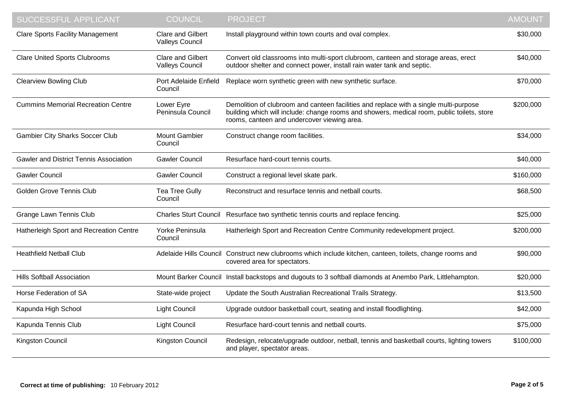| SUCCESSFUL APPLICANT                          | <b>COUNCIL</b>                                     | <b>PROJECT</b>                                                                                                                                                                                                                     | <b>AMOUNT</b> |
|-----------------------------------------------|----------------------------------------------------|------------------------------------------------------------------------------------------------------------------------------------------------------------------------------------------------------------------------------------|---------------|
| <b>Clare Sports Facility Management</b>       | <b>Clare and Gilbert</b><br><b>Valleys Council</b> | Install playground within town courts and oval complex.                                                                                                                                                                            | \$30,000      |
| <b>Clare United Sports Clubrooms</b>          | <b>Clare and Gilbert</b><br><b>Valleys Council</b> | Convert old classrooms into multi-sport clubroom, canteen and storage areas, erect<br>outdoor shelter and connect power, install rain water tank and septic.                                                                       | \$40,000      |
| <b>Clearview Bowling Club</b>                 | Port Adelaide Enfield<br>Council                   | Replace worn synthetic green with new synthetic surface.                                                                                                                                                                           | \$70,000      |
| <b>Cummins Memorial Recreation Centre</b>     | Lower Eyre<br>Peninsula Council                    | Demolition of clubroom and canteen facilities and replace with a single multi-purpose<br>building which will include: change rooms and showers, medical room, public toilets, store<br>rooms, canteen and undercover viewing area. | \$200,000     |
| <b>Gambier City Sharks Soccer Club</b>        | <b>Mount Gambier</b><br>Council                    | Construct change room facilities.                                                                                                                                                                                                  | \$34,000      |
| <b>Gawler and District Tennis Association</b> | <b>Gawler Council</b>                              | Resurface hard-court tennis courts.                                                                                                                                                                                                | \$40,000      |
| <b>Gawler Council</b>                         | <b>Gawler Council</b>                              | Construct a regional level skate park.                                                                                                                                                                                             | \$160,000     |
| <b>Golden Grove Tennis Club</b>               | Tea Tree Gully<br>Council                          | Reconstruct and resurface tennis and netball courts.                                                                                                                                                                               | \$68,500      |
| <b>Grange Lawn Tennis Club</b>                | <b>Charles Sturt Council</b>                       | Resurface two synthetic tennis courts and replace fencing.                                                                                                                                                                         | \$25,000      |
| Hatherleigh Sport and Recreation Centre       | Yorke Peninsula<br>Council                         | Hatherleigh Sport and Recreation Centre Community redevelopment project.                                                                                                                                                           | \$200,000     |
| <b>Heathfield Netball Club</b>                |                                                    | Adelaide Hills Council Construct new clubrooms which include kitchen, canteen, toilets, change rooms and<br>covered area for spectators.                                                                                           | \$90,000      |
| <b>Hills Softball Association</b>             |                                                    | Mount Barker Council Install backstops and dugouts to 3 softball diamonds at Anembo Park, Littlehampton.                                                                                                                           | \$20,000      |
| Horse Federation of SA                        | State-wide project                                 | Update the South Australian Recreational Trails Strategy.                                                                                                                                                                          | \$13,500      |
| Kapunda High School                           | <b>Light Council</b>                               | Upgrade outdoor basketball court, seating and install floodlighting.                                                                                                                                                               | \$42,000      |
| Kapunda Tennis Club                           | <b>Light Council</b>                               | Resurface hard-court tennis and netball courts.                                                                                                                                                                                    | \$75,000      |
| Kingston Council                              | Kingston Council                                   | Redesign, relocate/upgrade outdoor, netball, tennis and basketball courts, lighting towers<br>and player, spectator areas.                                                                                                         | \$100,000     |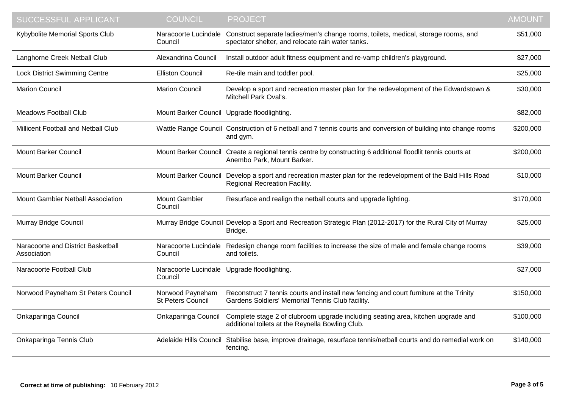| SUCCESSFUL APPLICANT                              | <b>COUNCIL</b>                                         | <b>PROJECT</b>                                                                                                                                | <b>AMOUNT</b> |
|---------------------------------------------------|--------------------------------------------------------|-----------------------------------------------------------------------------------------------------------------------------------------------|---------------|
| Kybybolite Memorial Sports Club                   | Naracoorte Lucindale<br>Council                        | Construct separate ladies/men's change rooms, toilets, medical, storage rooms, and<br>spectator shelter, and relocate rain water tanks.       | \$51,000      |
| Langhorne Creek Netball Club                      | Alexandrina Council                                    | Install outdoor adult fitness equipment and re-vamp children's playground.                                                                    | \$27,000      |
| <b>Lock District Swimming Centre</b>              | <b>Elliston Council</b>                                | Re-tile main and toddler pool.                                                                                                                | \$25,000      |
| <b>Marion Council</b>                             | <b>Marion Council</b>                                  | Develop a sport and recreation master plan for the redevelopment of the Edwardstown &<br>Mitchell Park Oval's.                                | \$30,000      |
| <b>Meadows Football Club</b>                      | Mount Barker Council Upgrade floodlighting.            |                                                                                                                                               | \$82,000      |
| Millicent Football and Netball Club               |                                                        | Wattle Range Council Construction of 6 netball and 7 tennis courts and conversion of building into change rooms<br>and gym.                   | \$200,000     |
| <b>Mount Barker Council</b>                       |                                                        | Mount Barker Council Create a regional tennis centre by constructing 6 additional floodlit tennis courts at<br>Anembo Park, Mount Barker.     | \$200,000     |
| <b>Mount Barker Council</b>                       |                                                        | Mount Barker Council Develop a sport and recreation master plan for the redevelopment of the Bald Hills Road<br>Regional Recreation Facility. | \$10,000      |
| Mount Gambier Netball Association                 | <b>Mount Gambier</b><br>Council                        | Resurface and realign the netball courts and upgrade lighting.                                                                                | \$170,000     |
| Murray Bridge Council                             |                                                        | Murray Bridge Council Develop a Sport and Recreation Strategic Plan (2012-2017) for the Rural City of Murray<br>Bridge.                       | \$25,000      |
| Naracoorte and District Basketball<br>Association | Naracoorte Lucindale<br>Council                        | Redesign change room facilities to increase the size of male and female change rooms<br>and toilets.                                          | \$39,000      |
| Naracoorte Football Club                          | Naracoorte Lucindale Upgrade floodlighting.<br>Council |                                                                                                                                               | \$27,000      |
| Norwood Payneham St Peters Council                | Norwood Payneham<br>St Peters Council                  | Reconstruct 7 tennis courts and install new fencing and court furniture at the Trinity<br>Gardens Soldiers' Memorial Tennis Club facility.    | \$150,000     |
| Onkaparinga Council                               | Onkaparinga Council                                    | Complete stage 2 of clubroom upgrade including seating area, kitchen upgrade and<br>additional toilets at the Reynella Bowling Club.          | \$100,000     |
| Onkaparinga Tennis Club                           |                                                        | Adelaide Hills Council Stabilise base, improve drainage, resurface tennis/netball courts and do remedial work on<br>fencing.                  | \$140,000     |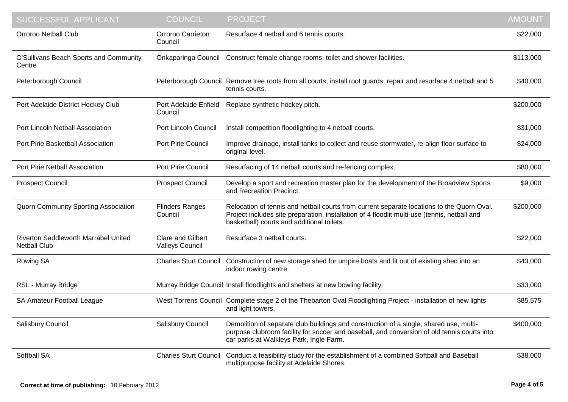| <b>SUCCESSFUL APPLICANT</b>                                        | <b>COUNCIL</b>                              | <b>PROJECT</b>                                                                                                                                                                                                                           | <b>AMOUNT</b> |
|--------------------------------------------------------------------|---------------------------------------------|------------------------------------------------------------------------------------------------------------------------------------------------------------------------------------------------------------------------------------------|---------------|
| <b>Orroroo Netball Club</b>                                        | Orroroo Carrieton<br>Council                | Resurface 4 netball and 6 tennis courts.                                                                                                                                                                                                 | \$22,000      |
| O'Sullivans Beach Sports and Community<br>Centre                   |                                             | Onkaparinga Council Construct female change rooms, toilet and shower facilities.                                                                                                                                                         | \$113,000     |
| Peterborough Council                                               |                                             | Peterborough Council Remove tree roots from all courts, install root guards, repair and resurface 4 netball and 5<br>tennis courts.                                                                                                      | \$40,000      |
| Port Adelaide District Hockey Club                                 | Port Adelaide Enfield<br>Council            | Replace synthetic hockey pitch.                                                                                                                                                                                                          | \$200,000     |
| Port Lincoln Netball Association                                   | <b>Port Lincoln Council</b>                 | Install competition floodlighting to 4 netball courts.                                                                                                                                                                                   | \$31,000      |
| Port Pirie Basketball Association                                  | Port Pirie Council                          | Improve drainage, install tanks to collect and reuse stormwater, re-align floor surface to<br>original level.                                                                                                                            | \$24,000      |
| Port Pirie Netball Association                                     | Port Pirie Council                          | Resurfacing of 14 netball courts and re-fencing complex.                                                                                                                                                                                 | \$80,000      |
| <b>Prospect Council</b>                                            | <b>Prospect Council</b>                     | Develop a sport and recreation master plan for the development of the Broadview Sports<br>and Recreation Precinct.                                                                                                                       | \$9,000       |
| <b>Quorn Community Sporting Association</b>                        | <b>Flinders Ranges</b><br>Council           | Relocation of tennis and netball courts from current separate locations to the Quorn Oval.<br>Project includes site preparation, installation of 4 floodlit multi-use (tennis, netball and<br>basketball) courts and additional toilets. | \$200,000     |
| <b>Riverton Saddleworth Marrabel United</b><br><b>Netball Club</b> | <b>Clare and Gilbert</b><br>Valleys Council | Resurface 3 netball courts.                                                                                                                                                                                                              | \$22,000      |
| Rowing SA                                                          | <b>Charles Sturt Council</b>                | Construction of new storage shed for umpire boats and fit out of existing shed into an<br>indoor rowing centre.                                                                                                                          | \$43,000      |
| RSL - Murray Bridge                                                |                                             | Murray Bridge Council Install floodlights and shelters at new bowling facility.                                                                                                                                                          | \$33,000      |
| SA Amateur Football League                                         |                                             | West Torrens Council Complete stage 2 of the Thebarton Oval Floodlighting Project - installation of new lights<br>and light towers.                                                                                                      | \$85,575      |
| Salisbury Council                                                  | Salisbury Council                           | Demolition of separate club buildings and construction of a single, shared use, multi-<br>purpose clubroom facility for soccer and baseball, and conversion of old tennis courts into<br>car parks at Walkleys Park, Ingle Farm.         | \$400,000     |
| Softball SA                                                        | <b>Charles Sturt Council</b>                | Conduct a feasibility study for the establishment of a combined Softball and Baseball<br>multipurpose facility at Adelaide Shores.                                                                                                       | \$38,000      |